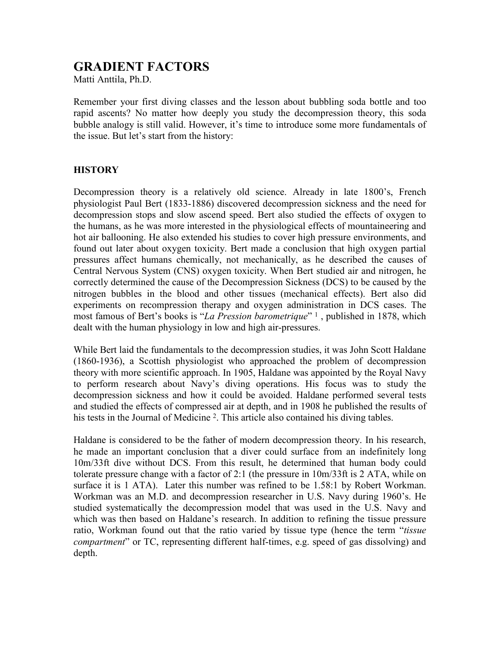# GRADIENT FACTORS

Matti Anttila, Ph.D.

Remember your first diving classes and the lesson about bubbling soda bottle and too rapid ascents? No matter how deeply you study the decompression theory, this soda bubble analogy is still valid. However, it's time to introduce some more fundamentals of the issue. But let's start from the history:

### **HISTORY**

Decompression theory is a relatively old science. Already in late 1800's, French physiologist Paul Bert (1833-1886) discovered decompression sickness and the need for decompression stops and slow ascend speed. Bert also studied the effects of oxygen to the humans, as he was more interested in the physiological effects of mountaineering and hot air ballooning. He also extended his studies to cover high pressure environments, and found out later about oxygen toxicity. Bert made a conclusion that high oxygen partial pressures affect humans chemically, not mechanically, as he described the causes of Central Nervous System (CNS) oxygen toxicity. When Bert studied air and nitrogen, he correctly determined the cause of the Decompression Sickness (DCS) to be caused by the nitrogen bubbles in the blood and other tissues (mechanical effects). Bert also did experiments on recompression therapy and oxygen administration in DCS cases. The most famous of Bert's books is "La Pression barometrique" 1, published in 1878, which dealt with the human physiology in low and high air-pressures.

While Bert laid the fundamentals to the decompression studies, it was John Scott Haldane (1860-1936), a Scottish physiologist who approached the problem of decompression theory with more scientific approach. In 1905, Haldane was appointed by the Royal Navy to perform research about Navy's diving operations. His focus was to study the decompression sickness and how it could be avoided. Haldane performed several tests and studied the effects of compressed air at depth, and in 1908 he published the results of his tests in the Journal of Medicine <sup>2</sup>. This article also contained his diving tables.

Haldane is considered to be the father of modern decompression theory. In his research, he made an important conclusion that a diver could surface from an indefinitely long 10m/33ft dive without DCS. From this result, he determined that human body could tolerate pressure change with a factor of 2:1 (the pressure in 10m/33ft is 2 ATA, while on surface it is 1 ATA). Later this number was refined to be 1.58:1 by Robert Workman. Workman was an M.D. and decompression researcher in U.S. Navy during 1960's. He studied systematically the decompression model that was used in the U.S. Navy and which was then based on Haldane's research. In addition to refining the tissue pressure ratio, Workman found out that the ratio varied by tissue type (hence the term "tissue compartment" or TC, representing different half-times, e.g. speed of gas dissolving) and depth.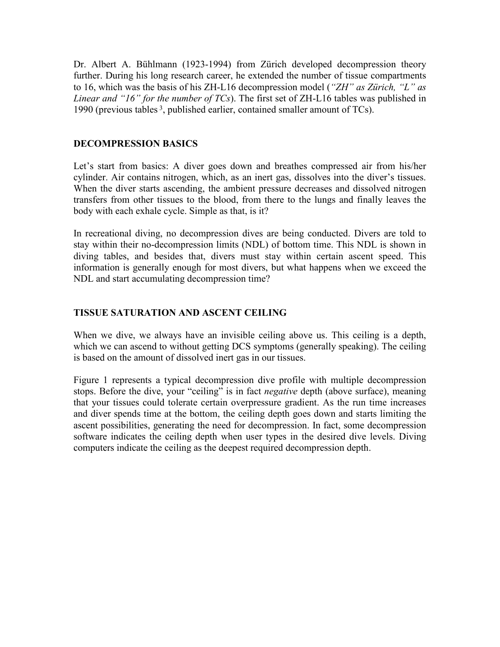Dr. Albert A. Bühlmann (1923-1994) from Zürich developed decompression theory further. During his long research career, he extended the number of tissue compartments to 16, which was the basis of his ZH-L16 decompression model ("ZH" as Zürich, "L" as Linear and "16" for the number of  $TCs$ ). The first set of ZH-L16 tables was published in 1990 (previous tables 3, published earlier, contained smaller amount of TCs).

## DECOMPRESSION BASICS

Let's start from basics: A diver goes down and breathes compressed air from his/her cylinder. Air contains nitrogen, which, as an inert gas, dissolves into the diver's tissues. When the diver starts ascending, the ambient pressure decreases and dissolved nitrogen transfers from other tissues to the blood, from there to the lungs and finally leaves the body with each exhale cycle. Simple as that, is it?

In recreational diving, no decompression dives are being conducted. Divers are told to stay within their no-decompression limits (NDL) of bottom time. This NDL is shown in diving tables, and besides that, divers must stay within certain ascent speed. This information is generally enough for most divers, but what happens when we exceed the NDL and start accumulating decompression time?

# TISSUE SATURATION AND ASCENT CEILING

When we dive, we always have an invisible ceiling above us. This ceiling is a depth, which we can ascend to without getting DCS symptoms (generally speaking). The ceiling is based on the amount of dissolved inert gas in our tissues.

Figure 1 represents a typical decompression dive profile with multiple decompression stops. Before the dive, your "ceiling" is in fact *negative* depth (above surface), meaning that your tissues could tolerate certain overpressure gradient. As the run time increases and diver spends time at the bottom, the ceiling depth goes down and starts limiting the ascent possibilities, generating the need for decompression. In fact, some decompression software indicates the ceiling depth when user types in the desired dive levels. Diving computers indicate the ceiling as the deepest required decompression depth.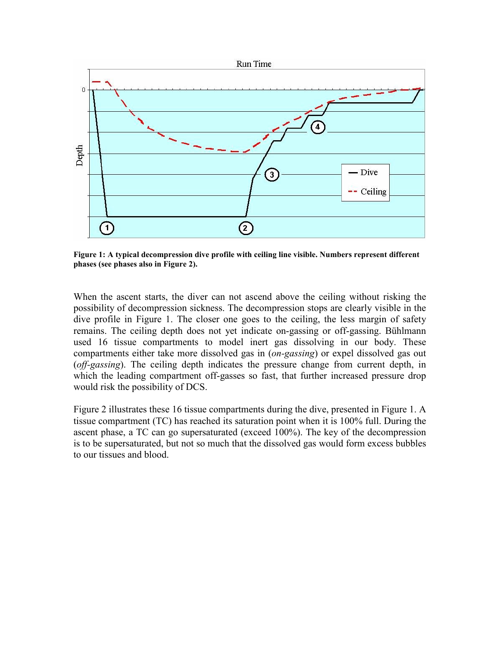

Figure 1: A typical decompression dive profile with ceiling line visible. Numbers represent different phases (see phases also in Figure 2).

When the ascent starts, the diver can not ascend above the ceiling without risking the possibility of decompression sickness. The decompression stops are clearly visible in the dive profile in Figure 1. The closer one goes to the ceiling, the less margin of safety remains. The ceiling depth does not yet indicate on-gassing or off-gassing. Bühlmann used 16 tissue compartments to model inert gas dissolving in our body. These compartments either take more dissolved gas in (on-gassing) or expel dissolved gas out (off-gassing). The ceiling depth indicates the pressure change from current depth, in which the leading compartment off-gasses so fast, that further increased pressure drop would risk the possibility of DCS.

Figure 2 illustrates these 16 tissue compartments during the dive, presented in Figure 1. A tissue compartment (TC) has reached its saturation point when it is 100% full. During the ascent phase, a TC can go supersaturated (exceed 100%). The key of the decompression is to be supersaturated, but not so much that the dissolved gas would form excess bubbles to our tissues and blood.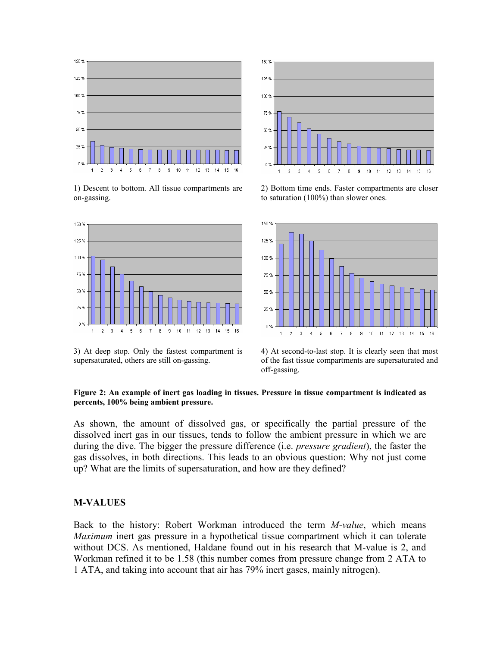

1) Descent to bottom. All tissue compartments are on-gassing.



3) At deep stop. Only the fastest compartment is supersaturated, others are still on-gassing.



2) Bottom time ends. Faster compartments are closer to saturation (100%) than slower ones.



4) At second-to-last stop. It is clearly seen that most of the fast tissue compartments are supersaturated and off-gassing.

#### Figure 2: An example of inert gas loading in tissues. Pressure in tissue compartment is indicated as percents, 100% being ambient pressure.

As shown, the amount of dissolved gas, or specifically the partial pressure of the dissolved inert gas in our tissues, tends to follow the ambient pressure in which we are during the dive. The bigger the pressure difference (i.e. *pressure gradient*), the faster the gas dissolves, in both directions. This leads to an obvious question: Why not just come up? What are the limits of supersaturation, and how are they defined?

#### M-VALUES

Back to the history: Robert Workman introduced the term *M-value*, which means Maximum inert gas pressure in a hypothetical tissue compartment which it can tolerate without DCS. As mentioned, Haldane found out in his research that M-value is 2, and Workman refined it to be 1.58 (this number comes from pressure change from 2 ATA to 1 ATA, and taking into account that air has 79% inert gases, mainly nitrogen).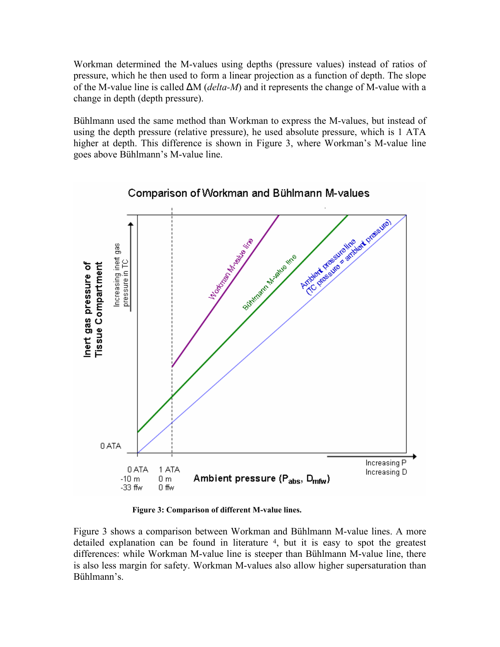Workman determined the M-values using depths (pressure values) instead of ratios of pressure, which he then used to form a linear projection as a function of depth. The slope of the M-value line is called ∆M (delta-M) and it represents the change of M-value with a change in depth (depth pressure).

Bühlmann used the same method than Workman to express the M-values, but instead of using the depth pressure (relative pressure), he used absolute pressure, which is 1 ATA higher at depth. This difference is shown in Figure 3, where Workman's M-value line goes above Bühlmann's M-value line.



Figure 3: Comparison of different M-value lines.

Figure 3 shows a comparison between Workman and Bühlmann M-value lines. A more detailed explanation can be found in literature 4, but it is easy to spot the greatest differences: while Workman M-value line is steeper than Bühlmann M-value line, there is also less margin for safety. Workman M-values also allow higher supersaturation than Bühlmann's.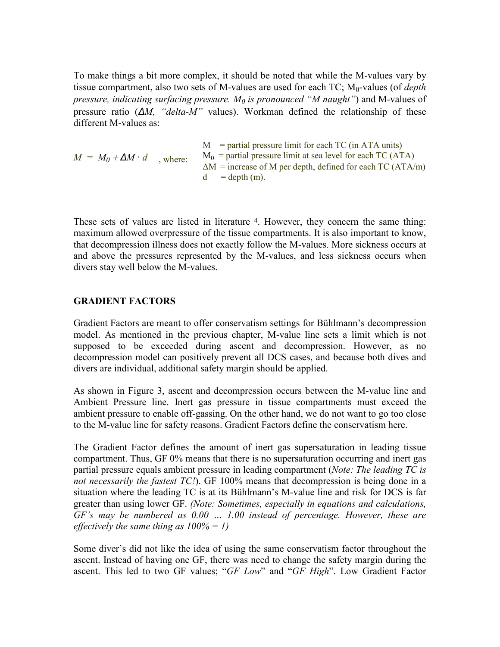To make things a bit more complex, it should be noted that while the M-values vary by tissue compartment, also two sets of M-values are used for each  $TC$ ;  $M_0$ -values (of *depth* pressure, indicating surfacing pressure.  $M_0$  is pronounced "M naught") and M-values of pressure ratio ( $\Delta M$ , "delta-M" values). Workman defined the relationship of these different M-values as:

| $M = M_0 + \Delta M \cdot d$ | $M$ = partial pressure limit for each TC (in ATA units)                                |  |  |  |
|------------------------------|----------------------------------------------------------------------------------------|--|--|--|
| where:                       | $M_0$ = partial pressure limit at sea level for each TC (ATA)                          |  |  |  |
|                              | $\Delta M$ = increase of M per depth, defined for each TC (ATA/m)<br>$d = depth (m)$ . |  |  |  |

These sets of values are listed in literature 4. However, they concern the same thing: maximum allowed overpressure of the tissue compartments. It is also important to know, that decompression illness does not exactly follow the M-values. More sickness occurs at and above the pressures represented by the M-values, and less sickness occurs when divers stay well below the M-values.

### GRADIENT FACTORS

Gradient Factors are meant to offer conservatism settings for Bühlmann's decompression model. As mentioned in the previous chapter, M-value line sets a limit which is not supposed to be exceeded during ascent and decompression. However, as no decompression model can positively prevent all DCS cases, and because both dives and divers are individual, additional safety margin should be applied.

As shown in Figure 3, ascent and decompression occurs between the M-value line and Ambient Pressure line. Inert gas pressure in tissue compartments must exceed the ambient pressure to enable off-gassing. On the other hand, we do not want to go too close to the M-value line for safety reasons. Gradient Factors define the conservatism here.

The Gradient Factor defines the amount of inert gas supersaturation in leading tissue compartment. Thus, GF 0% means that there is no supersaturation occurring and inert gas partial pressure equals ambient pressure in leading compartment (Note: The leading TC is not necessarily the fastest TC!). GF 100% means that decompression is being done in a situation where the leading TC is at its Bühlmann's M-value line and risk for DCS is far greater than using lower GF. (Note: Sometimes, especially in equations and calculations, GF's may be numbered as 0.00 … 1.00 instead of percentage. However, these are effectively the same thing as  $100% = 1$ )

Some diver's did not like the idea of using the same conservatism factor throughout the ascent. Instead of having one GF, there was need to change the safety margin during the ascent. This led to two GF values; "GF Low" and "GF High". Low Gradient Factor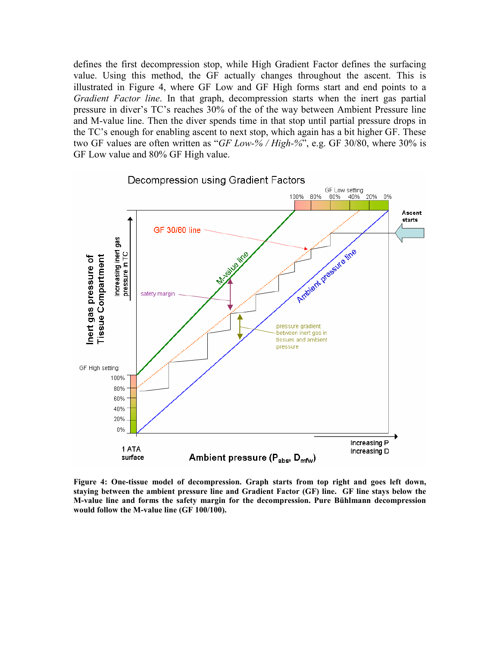defines the first decompression stop, while High Gradient Factor defines the surfacing value. Using this method, the GF actually changes throughout the ascent. This is illustrated in Figure 4, where GF Low and GF High forms start and end points to a Gradient Factor line. In that graph, decompression starts when the inert gas partial pressure in diver's TC's reaches 30% of the of the way between Ambient Pressure line and M-value line. Then the diver spends time in that stop until partial pressure drops in the TC's enough for enabling ascent to next stop, which again has a bit higher GF. These two GF values are often written as "GF Low-% / High-%", e.g. GF 30/80, where 30% is GF Low value and 80% GF High value.



Figure 4: One-tissue model of decompression. Graph starts from top right and goes left down, staying between the ambient pressure line and Gradient Factor (GF) line. GF line stays below the M-value line and forms the safety margin for the decompression. Pure Bühlmann decompression would follow the M-value line (GF 100/100).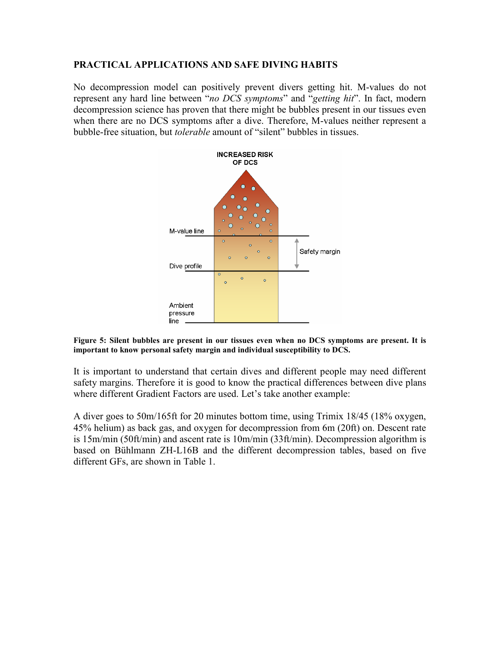### PRACTICAL APPLICATIONS AND SAFE DIVING HABITS

No decompression model can positively prevent divers getting hit. M-values do not represent any hard line between "no DCS symptoms" and "getting hit". In fact, modern decompression science has proven that there might be bubbles present in our tissues even when there are no DCS symptoms after a dive. Therefore, M-values neither represent a bubble-free situation, but *tolerable* amount of "silent" bubbles in tissues.



Figure 5: Silent bubbles are present in our tissues even when no DCS symptoms are present. It is important to know personal safety margin and individual susceptibility to DCS.

It is important to understand that certain dives and different people may need different safety margins. Therefore it is good to know the practical differences between dive plans where different Gradient Factors are used. Let's take another example:

A diver goes to 50m/165ft for 20 minutes bottom time, using Trimix 18/45 (18% oxygen, 45% helium) as back gas, and oxygen for decompression from 6m (20ft) on. Descent rate is 15m/min (50ft/min) and ascent rate is 10m/min (33ft/min). Decompression algorithm is based on Bühlmann ZH-L16B and the different decompression tables, based on five different GFs, are shown in Table 1.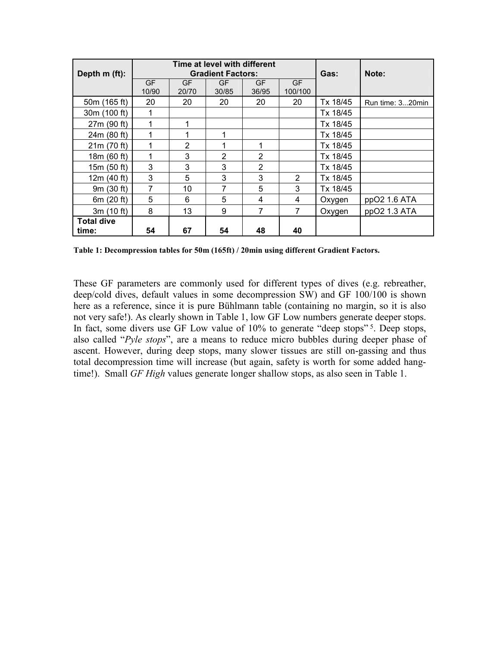| Depth m (ft):     | Time at level with different<br><b>Gradient Factors:</b> |                    |                    |             |                      | Gas:     | Note:            |
|-------------------|----------------------------------------------------------|--------------------|--------------------|-------------|----------------------|----------|------------------|
|                   | <b>GF</b><br>10/90                                       | <b>GF</b><br>20/70 | <b>GF</b><br>30/85 | GF<br>36/95 | <b>GF</b><br>100/100 |          |                  |
| 50m (165 ft)      | 20                                                       | 20                 | 20                 | 20          | 20                   | Tx 18/45 | Run time: 320min |
| 30m (100 ft)      | 1                                                        |                    |                    |             |                      | Tx 18/45 |                  |
| 27m (90 ft)       |                                                          |                    |                    |             |                      | Tx 18/45 |                  |
| 24m (80 ft)       | 1                                                        |                    | 1                  |             |                      | Tx 18/45 |                  |
| 21m (70 ft)       | 1                                                        | 2                  | 1                  | 1           |                      | Tx 18/45 |                  |
| 18m (60 ft)       | 1                                                        | 3                  | $\overline{2}$     | 2           |                      | Tx 18/45 |                  |
| 15m (50 ft)       | 3                                                        | 3                  | 3                  | 2           |                      | Tx 18/45 |                  |
| 12 $m(40 ft)$     | 3                                                        | 5                  | 3                  | 3           | $\mathcal{P}$        | Tx 18/45 |                  |
| 9m (30 ft)        | 7                                                        | 10                 | 7                  | 5           | 3                    | Tx 18/45 |                  |
| 6m (20 ft)        | 5                                                        | 6                  | 5                  | 4           | 4                    | Oxygen   | ppO2 1.6 ATA     |
| 3m (10 ft)        | 8                                                        | 13                 | 9                  | 7           | 7                    | Oxygen   | ppO2 1.3 ATA     |
| <b>Total dive</b> |                                                          |                    |                    |             |                      |          |                  |
| time:             | 54                                                       | 67                 | 54                 | 48          | 40                   |          |                  |

Table 1: Decompression tables for 50m (165ft) / 20min using different Gradient Factors.

These GF parameters are commonly used for different types of dives (e.g. rebreather, deep/cold dives, default values in some decompression SW) and GF 100/100 is shown here as a reference, since it is pure Bühlmann table (containing no margin, so it is also not very safe!). As clearly shown in Table 1, low GF Low numbers generate deeper stops. In fact, some divers use GF Low value of 10% to generate "deep stops"<sup>5</sup>. Deep stops, also called "Pyle stops", are a means to reduce micro bubbles during deeper phase of ascent. However, during deep stops, many slower tissues are still on-gassing and thus total decompression time will increase (but again, safety is worth for some added hangtime!). Small *GF High* values generate longer shallow stops, as also seen in Table 1.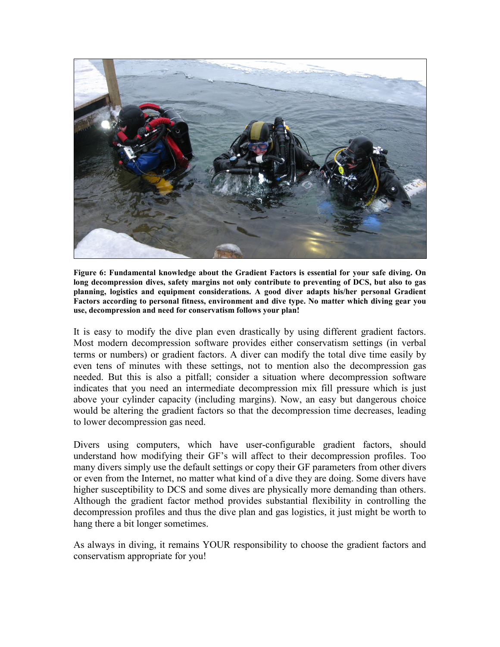

Figure 6: Fundamental knowledge about the Gradient Factors is essential for your safe diving. On long decompression dives, safety margins not only contribute to preventing of DCS, but also to gas planning, logistics and equipment considerations. A good diver adapts his/her personal Gradient Factors according to personal fitness, environment and dive type. No matter which diving gear you use, decompression and need for conservatism follows your plan!

It is easy to modify the dive plan even drastically by using different gradient factors. Most modern decompression software provides either conservatism settings (in verbal terms or numbers) or gradient factors. A diver can modify the total dive time easily by even tens of minutes with these settings, not to mention also the decompression gas needed. But this is also a pitfall; consider a situation where decompression software indicates that you need an intermediate decompression mix fill pressure which is just above your cylinder capacity (including margins). Now, an easy but dangerous choice would be altering the gradient factors so that the decompression time decreases, leading to lower decompression gas need.

Divers using computers, which have user-configurable gradient factors, should understand how modifying their GF's will affect to their decompression profiles. Too many divers simply use the default settings or copy their GF parameters from other divers or even from the Internet, no matter what kind of a dive they are doing. Some divers have higher susceptibility to DCS and some dives are physically more demanding than others. Although the gradient factor method provides substantial flexibility in controlling the decompression profiles and thus the dive plan and gas logistics, it just might be worth to hang there a bit longer sometimes.

As always in diving, it remains YOUR responsibility to choose the gradient factors and conservatism appropriate for you!